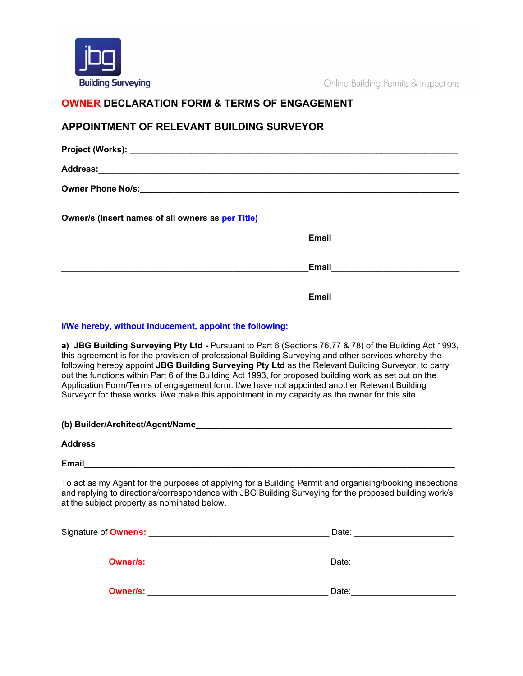

Online Building Permits & Inspections

# **OWNER DECLARATION FORM & TERMS OF ENGAGEMENT**

# **APPOINTMENT OF RELEVANT BUILDING SURVEYOR**

| Owner/s (Insert names of all owners as per Title)              |                                                                                                                                                                                                                                               |
|----------------------------------------------------------------|-----------------------------------------------------------------------------------------------------------------------------------------------------------------------------------------------------------------------------------------------|
| <u> 1980 - Johann John Stein, marwolaeth a bhannaich an t-</u> |                                                                                                                                                                                                                                               |
|                                                                | Email <b>Execution Contract Contract Contract Contract Contract Contract Contract Contract Contract Contract Contract Contract Contract Contract Contract Contract Contract Contract Contract Contract Contract Contract Contrac</b>          |
|                                                                |                                                                                                                                                                                                                                               |
|                                                                | Email<br><u> 1980 - Johann Barn, mars ann an t-Amhraid ann an t-Amhraid ann an t-Amhraid ann an t-Amhraid ann an t-Amhraid ann an t-Amhraid ann an t-Amhraid ann an t-Amhraid ann an t-Amhraid ann an t-Amhraid ann an t-Amhraid ann an t</u> |

# **I/We hereby, without inducement, appoint the following:**

**a) JBG Building Surveying Pty Ltd -** Pursuant to Part 6 (Sections 76,77 & 78) of the Building Act 1993, this agreement is for the provision of professional Building Surveying and other services whereby the following hereby appoint **JBG Building Surveying Pty Ltd** as the Relevant Building Surveyor, to carry out the functions within Part 6 of the Building Act 1993, for proposed building work as set out on the Application Form/Terms of engagement form. I/we have not appointed another Relevant Building Surveyor for these works. i/we make this appointment in my capacity as the owner for this site.

| (b) Builder/Architect/Agent/Name |  |
|----------------------------------|--|
| <b>Address</b>                   |  |
| <b>Email</b>                     |  |

To act as my Agent for the purposes of applying for a Building Permit and organising/booking inspections and replying to directions/correspondence with JBG Building Surveying for the proposed building work/s at the subject property as nominated below.

| Signature of <b>Owner/s:</b> | Date: |
|------------------------------|-------|
| <b>Owner/s:</b>              | Date: |
| <b>Owner/s:</b>              | Date: |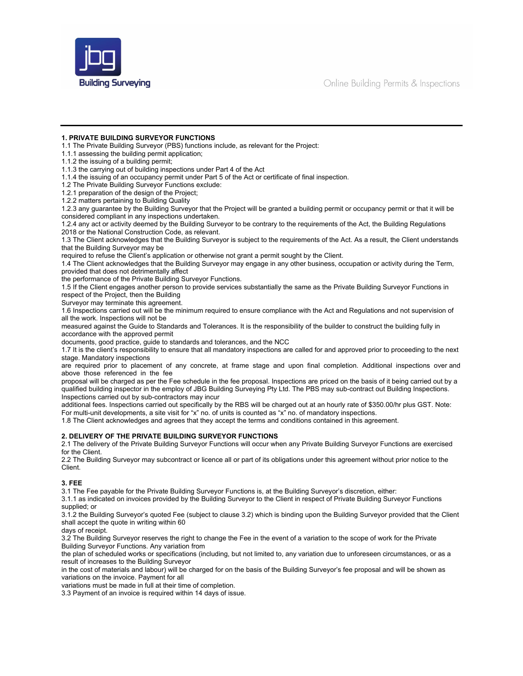

## **1. PRIVATE BUILDING SURVEYOR FUNCTIONS**

- 1.1 The Private Building Surveyor (PBS) functions include, as relevant for the Project:
- 1.1.1 assessing the building permit application;
- 1.1.2 the issuing of a building permit;
- 1.1.3 the carrying out of building inspections under Part 4 of the Act
- 1.1.4 the issuing of an occupancy permit under Part 5 of the Act or certificate of final inspection.
- 1.2 The Private Building Surveyor Functions exclude:
- 1.2.1 preparation of the design of the Project;
- 1.2.2 matters pertaining to Building Quality

1.2.3 any guarantee by the Building Surveyor that the Project will be granted a building permit or occupancy permit or that it will be considered compliant in any inspections undertaken.

1.2.4 any act or activity deemed by the Building Surveyor to be contrary to the requirements of the Act, the Building Regulations 2018 or the National Construction Code, as relevant.

1.3 The Client acknowledges that the Building Surveyor is subject to the requirements of the Act. As a result, the Client understands that the Building Surveyor may be

required to refuse the Client's application or otherwise not grant a permit sought by the Client.

1.4 The Client acknowledges that the Building Surveyor may engage in any other business, occupation or activity during the Term, provided that does not detrimentally affect

the performance of the Private Building Surveyor Functions.

1.5 If the Client engages another person to provide services substantially the same as the Private Building Surveyor Functions in respect of the Project, then the Building

Surveyor may terminate this agreement.

1.6 Inspections carried out will be the minimum required to ensure compliance with the Act and Regulations and not supervision of all the work. Inspections will not be

measured against the Guide to Standards and Tolerances. It is the responsibility of the builder to construct the building fully in accordance with the approved permit

documents, good practice, guide to standards and tolerances, and the NCC

1.7 It is the client's responsibility to ensure that all mandatory inspections are called for and approved prior to proceeding to the next stage. Mandatory inspections

are required prior to placement of any concrete, at frame stage and upon final completion. Additional inspections over and above those referenced in the fee

proposal will be charged as per the Fee schedule in the fee proposal. Inspections are priced on the basis of it being carried out by a qualified building inspector in the employ of JBG Building Surveying Pty Ltd. The PBS may sub-contract out Building Inspections. Inspections carried out by sub-contractors may incur

additional fees. Inspections carried out specifically by the RBS will be charged out at an hourly rate of \$350.00/hr plus GST. Note: For multi-unit developments, a site visit for "x" no. of units is counted as "x" no. of mandatory inspections.

1.8 The Client acknowledges and agrees that they accept the terms and conditions contained in this agreement.

#### **2. DELIVERY OF THE PRIVATE BUILDING SURVEYOR FUNCTIONS**

2.1 The delivery of the Private Building Surveyor Functions will occur when any Private Building Surveyor Functions are exercised for the Client.

2.2 The Building Surveyor may subcontract or licence all or part of its obligations under this agreement without prior notice to the Client.

#### **3. FEE**

3.1 The Fee payable for the Private Building Surveyor Functions is, at the Building Surveyor's discretion, either:

3.1.1 as indicated on invoices provided by the Building Surveyor to the Client in respect of Private Building Surveyor Functions supplied; or

3.1.2 the Building Surveyor's quoted Fee (subject to clause 3.2) which is binding upon the Building Surveyor provided that the Client shall accept the quote in writing within 60

days of receipt.

3.2 The Building Surveyor reserves the right to change the Fee in the event of a variation to the scope of work for the Private Building Surveyor Functions. Any variation from

the plan of scheduled works or specifications (including, but not limited to, any variation due to unforeseen circumstances, or as a result of increases to the Building Surveyor

in the cost of materials and labour) will be charged for on the basis of the Building Surveyor's fee proposal and will be shown as variations on the invoice. Payment for all

variations must be made in full at their time of completion.

3.3 Payment of an invoice is required within 14 days of issue.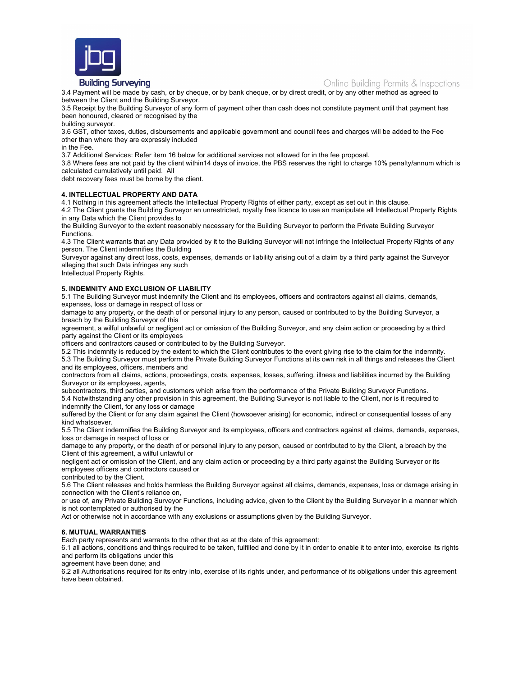

## **Building Surveying**

Online Building Permits & Inspections

3.4 Payment will be made by cash, or by cheque, or by bank cheque, or by direct credit, or by any other method as agreed to between the Client and the Building Surveyor.

3.5 Receipt by the Building Surveyor of any form of payment other than cash does not constitute payment until that payment has been honoured, cleared or recognised by the

building surveyor.

3.6 GST, other taxes, duties, disbursements and applicable government and council fees and charges will be added to the Fee other than where they are expressly included

in the Fee.

3.7 Additional Services: Refer item 16 below for additional services not allowed for in the fee proposal.

3.8 Where fees are not paid by the client within14 days of invoice, the PBS reserves the right to charge 10% penalty/annum which is calculated cumulatively until paid. All

debt recovery fees must be borne by the client.

#### **4. INTELLECTUAL PROPERTY AND DATA**

4.1 Nothing in this agreement affects the Intellectual Property Rights of either party, except as set out in this clause.

4.2 The Client grants the Building Surveyor an unrestricted, royalty free licence to use an manipulate all Intellectual Property Rights in any Data which the Client provides to

the Building Surveyor to the extent reasonably necessary for the Building Surveyor to perform the Private Building Surveyor Functions.

4.3 The Client warrants that any Data provided by it to the Building Surveyor will not infringe the Intellectual Property Rights of any person. The Client indemnifies the Building

Surveyor against any direct loss, costs, expenses, demands or liability arising out of a claim by a third party against the Surveyor alleging that such Data infringes any such

Intellectual Property Rights.

## **5. INDEMNITY AND EXCLUSION OF LIABILITY**

5.1 The Building Surveyor must indemnify the Client and its employees, officers and contractors against all claims, demands, expenses, loss or damage in respect of loss or

damage to any property, or the death of or personal injury to any person, caused or contributed to by the Building Surveyor, a breach by the Building Surveyor of this

agreement, a wilful unlawful or negligent act or omission of the Building Surveyor, and any claim action or proceeding by a third party against the Client or its employees

officers and contractors caused or contributed to by the Building Surveyor.

5.2 This indemnity is reduced by the extent to which the Client contributes to the event giving rise to the claim for the indemnity. 5.3 The Building Surveyor must perform the Private Building Surveyor Functions at its own risk in all things and releases the Client and its employees, officers, members and

contractors from all claims, actions, proceedings, costs, expenses, losses, suffering, illness and liabilities incurred by the Building Surveyor or its employees, agents,

subcontractors, third parties, and customers which arise from the performance of the Private Building Surveyor Functions. 5.4 Notwithstanding any other provision in this agreement, the Building Surveyor is not liable to the Client, nor is it required to indemnify the Client, for any loss or damage

suffered by the Client or for any claim against the Client (howsoever arising) for economic, indirect or consequential losses of any kind whatsoever.

5.5 The Client indemnifies the Building Surveyor and its employees, officers and contractors against all claims, demands, expenses, loss or damage in respect of loss or

damage to any property, or the death of or personal injury to any person, caused or contributed to by the Client, a breach by the Client of this agreement, a wilful unlawful or

negligent act or omission of the Client, and any claim action or proceeding by a third party against the Building Surveyor or its employees officers and contractors caused or

contributed to by the Client.

5.6 The Client releases and holds harmless the Building Surveyor against all claims, demands, expenses, loss or damage arising in connection with the Client's reliance on,

or use of, any Private Building Surveyor Functions, including advice, given to the Client by the Building Surveyor in a manner which is not contemplated or authorised by the

Act or otherwise not in accordance with any exclusions or assumptions given by the Building Surveyor.

#### **6. MUTUAL WARRANTIES**

Each party represents and warrants to the other that as at the date of this agreement:

6.1 all actions, conditions and things required to be taken, fulfilled and done by it in order to enable it to enter into, exercise its rights and perform its obligations under this

agreement have been done; and

6.2 all Authorisations required for its entry into, exercise of its rights under, and performance of its obligations under this agreement have been obtained.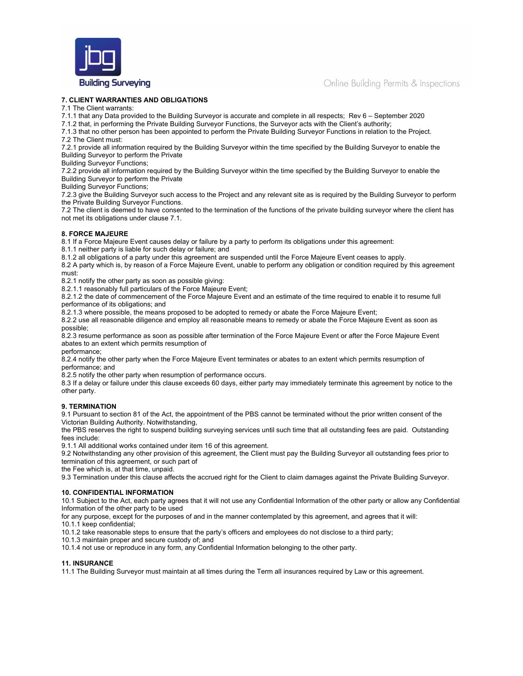

#### **7. CLIENT WARRANTIES AND OBLIGATIONS**

7.1 The Client warrants:

7.1.1 that any Data provided to the Building Surveyor is accurate and complete in all respects; Rev 6 – September 2020

7.1.2 that, in performing the Private Building Surveyor Functions, the Surveyor acts with the Client's authority;

7.1.3 that no other person has been appointed to perform the Private Building Surveyor Functions in relation to the Project.

7.2 The Client must:

7.2.1 provide all information required by the Building Surveyor within the time specified by the Building Surveyor to enable the Building Surveyor to perform the Private

Building Surveyor Functions;

7.2.2 provide all information required by the Building Surveyor within the time specified by the Building Surveyor to enable the Building Surveyor to perform the Private

Building Surveyor Functions;

7.2.3 give the Building Surveyor such access to the Project and any relevant site as is required by the Building Surveyor to perform the Private Building Surveyor Functions.

7.2 The client is deemed to have consented to the termination of the functions of the private building surveyor where the client has not met its obligations under clause 7.1.

## **8. FORCE MAJEURE**

8.1 If a Force Majeure Event causes delay or failure by a party to perform its obligations under this agreement:

8.1.1 neither party is liable for such delay or failure; and

8.1.2 all obligations of a party under this agreement are suspended until the Force Majeure Event ceases to apply.

8.2 A party which is, by reason of a Force Majeure Event, unable to perform any obligation or condition required by this agreement must:

8.2.1 notify the other party as soon as possible giving:

8.2.1.1 reasonably full particulars of the Force Majeure Event;

8.2.1.2 the date of commencement of the Force Majeure Event and an estimate of the time required to enable it to resume full performance of its obligations; and

8.2.1.3 where possible, the means proposed to be adopted to remedy or abate the Force Majeure Event;

8.2.2 use all reasonable diligence and employ all reasonable means to remedy or abate the Force Majeure Event as soon as possible;

8.2.3 resume performance as soon as possible after termination of the Force Majeure Event or after the Force Majeure Event abates to an extent which permits resumption of

performance;

8.2.4 notify the other party when the Force Majeure Event terminates or abates to an extent which permits resumption of performance; and

8.2.5 notify the other party when resumption of performance occurs.

8.3 If a delay or failure under this clause exceeds 60 days, either party may immediately terminate this agreement by notice to the other party.

#### **9. TERMINATION**

9.1 Pursuant to section 81 of the Act, the appointment of the PBS cannot be terminated without the prior written consent of the Victorian Building Authority. Notwithstanding,

the PBS reserves the right to suspend building surveying services until such time that all outstanding fees are paid. Outstanding fees include:

9.1.1 All additional works contained under item 16 of this agreement.

9.2 Notwithstanding any other provision of this agreement, the Client must pay the Building Surveyor all outstanding fees prior to termination of this agreement, or such part of

the Fee which is, at that time, unpaid.

9.3 Termination under this clause affects the accrued right for the Client to claim damages against the Private Building Surveyor.

#### **10. CONFIDENTIAL INFORMATION**

10.1 Subject to the Act, each party agrees that it will not use any Confidential Information of the other party or allow any Confidential Information of the other party to be used

for any purpose, except for the purposes of and in the manner contemplated by this agreement, and agrees that it will:

10.1.1 keep confidential;

10.1.2 take reasonable steps to ensure that the party's officers and employees do not disclose to a third party;

10.1.3 maintain proper and secure custody of; and

10.1.4 not use or reproduce in any form, any Confidential Information belonging to the other party.

#### **11. INSURANCE**

11.1 The Building Surveyor must maintain at all times during the Term all insurances required by Law or this agreement.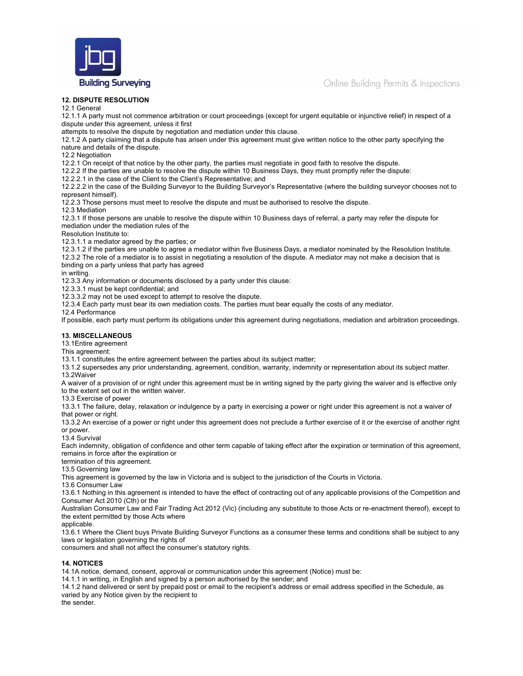

Online Building Permits & Inspections

## **12. DISPUTE RESOLUTION**

12.1 General

12.1.1 A party must not commence arbitration or court proceedings (except for urgent equitable or injunctive relief) in respect of a dispute under this agreement, unless it first

attempts to resolve the dispute by negotiation and mediation under this clause.

12.1.2 A party claiming that a dispute has arisen under this agreement must give written notice to the other party specifying the nature and details of the dispute.

12.2 Negotiation

12.2.1 On receipt of that notice by the other party, the parties must negotiate in good faith to resolve the dispute.

12.2.2 If the parties are unable to resolve the dispute within 10 Business Days, they must promptly refer the dispute:

12.2.2.1 in the case of the Client to the Client's Representative; and

12.2.2.2 in the case of the Building Surveyor to the Building Surveyor's Representative (where the building surveyor chooses not to represent himself).

12.2.3 Those persons must meet to resolve the dispute and must be authorised to resolve the dispute.

12.3 Mediation

12.3.1 If those persons are unable to resolve the dispute within 10 Business days of referral, a party may refer the dispute for mediation under the mediation rules of the

Resolution Institute to:

12.3.1.1 a mediator agreed by the parties; or

12.3.1.2 if the parties are unable to agree a mediator within five Business Days, a mediator nominated by the Resolution Institute.

12.3.2 The role of a mediator is to assist in negotiating a resolution of the dispute. A mediator may not make a decision that is binding on a party unless that party has agreed

in writing.

12.3.3 Any information or documents disclosed by a party under this clause:

12.3.3.1 must be kept confidential; and

12.3.3.2 may not be used except to attempt to resolve the dispute.

12.3.4 Each party must bear its own mediation costs. The parties must bear equally the costs of any mediator.

12.4 Performance

If possible, each party must perform its obligations under this agreement during negotiations, mediation and arbitration proceedings.

# **13. MISCELLANEOUS**

13.1Entire agreement

This agreement:

13.1.1 constitutes the entire agreement between the parties about its subject matter;

13.1.2 supersedes any prior understanding, agreement, condition, warranty, indemnity or representation about its subject matter. 13.2Waiver

A waiver of a provision of or right under this agreement must be in writing signed by the party giving the waiver and is effective only to the extent set out in the written waiver.

13.3 Exercise of power

13.3.1 The failure, delay, relaxation or indulgence by a party in exercising a power or right under this agreement is not a waiver of that power or right.

13.3.2 An exercise of a power or right under this agreement does not preclude a further exercise of it or the exercise of another right or power.

13.4 Survival

Each indemnity, obligation of confidence and other term capable of taking effect after the expiration or termination of this agreement, remains in force after the expiration or

termination of this agreement.

13.5 Governing law

This agreement is governed by the law in Victoria and is subject to the jurisdiction of the Courts in Victoria.

13.6 Consumer Law

13.6.1 Nothing in this agreement is intended to have the effect of contracting out of any applicable provisions of the Competition and Consumer Act 2010 (Cth) or the

Australian Consumer Law and Fair Trading Act 2012 (Vic) (including any substitute to those Acts or re-enactment thereof), except to the extent permitted by those Acts where

applicable.

13.6.1 Where the Client buys Private Building Surveyor Functions as a consumer these terms and conditions shall be subject to any laws or legislation governing the rights of

consumers and shall not affect the consumer's statutory rights.

# **14. NOTICES**

14.1A notice, demand, consent, approval or communication under this agreement (Notice) must be:

14.1.1 in writing, in English and signed by a person authorised by the sender; and

14.1.2 hand delivered or sent by prepaid post or email to the recipient's address or email address specified in the Schedule, as varied by any Notice given by the recipient to

the sender.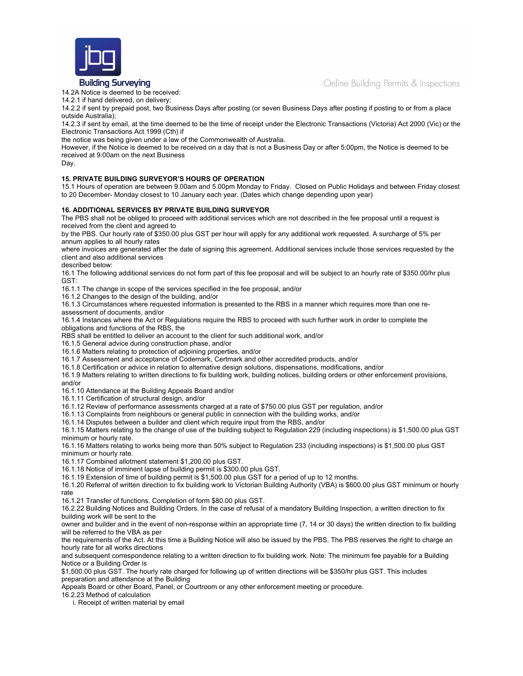Online Building Permits & Inspections



**Building Surveying** 

14.2A Notice is deemed to be received:

14.2.1 if hand delivered, on delivery;

14.2.2 if sent by prepaid post, two Business Days after posting (or seven Business Days after posting if posting to or from a place outside Australia);

14.2.3 if sent by email, at the time deemed to be the time of receipt under the Electronic Transactions (Victoria) Act 2000 (Vic) or the Electronic Transactions Act 1999 (Cth) if

the notice was being given under a law of the Commonwealth of Australia.

However, if the Notice is deemed to be received on a day that is not a Business Day or after 5:00pm, the Notice is deemed to be received at 9:00am on the next Business

Day.

# **15. PRIVATE BUILDING SURVEYOR'S HOURS OF OPERATION**

15.1 Hours of operation are between 9.00am and 5.00pm Monday to Friday. Closed on Public Holidays and between Friday closest to 20 December- Monday closest to 10 January each year. (Dates which change depending upon year)

## **16. ADDITIONAL SERVICES BY PRIVATE BUILDING SURVEYOR**

The PBS shall not be obliged to proceed with additional services which are not described in the fee proposal until a request is received from the client and agreed to

by the PBS. Our hourly rate of \$350.00 plus GST per hour will apply for any additional work requested. A surcharge of 5% per annum applies to all hourly rates

where invoices are generated after the date of signing this agreement. Additional services include those services requested by the client and also additional services

described below:

16.1 The following additional services do not form part of this fee proposal and will be subject to an hourly rate of \$350.00/hr plus GST:

16.1.1 The change in scope of the services specified in the fee proposal, and/or

16.1.2 Changes to the design of the building, and/or

16.1.3 Circumstances where requested information is presented to the RBS in a manner which requires more than one re-

assessment of documents, and/or

16.1.4 Instances where the Act or Regulations require the RBS to proceed with such further work in order to complete the obligations and functions of the RBS, the

RBS shall be entitled to deliver an account to the client for such additional work, and/or

16.1.5 General advice during construction phase, and/or

16.1.6 Matters relating to protection of adjoining properties, and/or

16.1.7 Assessment and acceptance of Codemark, Certmark and other accredited products, and/or

16.1.8 Certification or advice in relation to alternative design solutions, dispensations, modifications, and/or

16.1.9 Matters relating to written directions to fix building work, building notices, building orders or other enforcement provisions,

and/or

16.1.10 Attendance at the Building Appeals Board and/or

16.1.11 Certification of structural design, and/or

16.1.12 Review of performance assessments charged at a rate of \$750.00 plus GST per regulation, and/or

16.1.13 Complaints from neighbours or general public in connection with the building works, and/or

16.1.14 Disputes between a builder and client which require input from the RBS, and/or

16.1.15 Matters relating to the change of use of the building subject to Regulation 229 (including inspections) is \$1,500.00 plus GST minimum or hourly rate.

16.1.16 Matters relating to works being more than 50% subject to Regulation 233 (including inspections) is \$1,500.00 plus GST minimum or hourly rate.

16.1.17 Combined allotment statement \$1,200.00 plus GST.

16.1.18 Notice of imminent lapse of building permit is \$300.00 plus GST.

16.1.19 Extension of time of building permit is \$1,500.00 plus GST for a period of up to 12 months.

16.1.20 Referral of written direction to fix building work to Victorian Building Authority (VBA) is \$600.00 plus GST minimum or hourly rate

16.1.21 Transfer of functions. Completion of form \$80.00 plus GST.

16.2.22 Building Notices and Building Orders. In the case of refusal of a mandatory Building Inspection, a written direction to fix building work will be sent to the

owner and builder and in the event of non-response within an appropriate time (7, 14 or 30 days) the written direction to fix building will be referred to the VBA as per

the requirements of the Act. At this time a Building Notice will also be issued by the PBS. The PBS reserves the right to charge an hourly rate for all works directions

and subsequent correspondence relating to a written direction to fix building work. Note: The minimum fee payable for a Building Notice or a Building Order is

\$1,500.00 plus GST. The hourly rate charged for following up of written directions will be \$350/hr plus GST. This includes preparation and attendance at the Building

Appeals Board or other Board, Panel, or Courtroom or any other enforcement meeting or procedure.

16.2.23 Method of calculation

i. Receipt of written material by email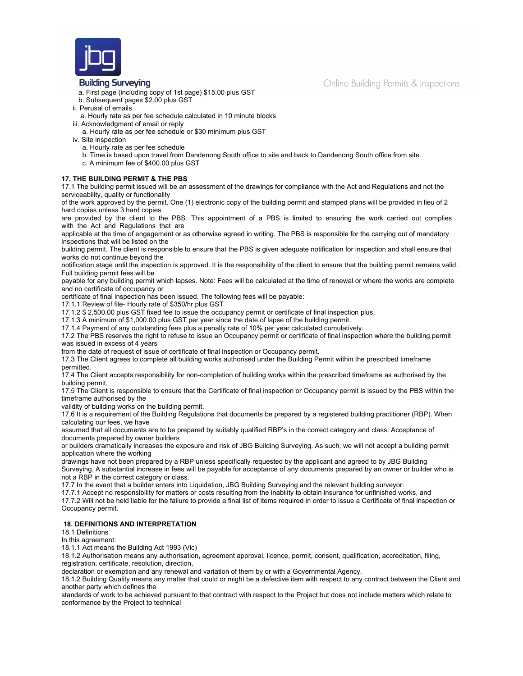

## **Building Surveying**

- a. First page (including copy of 1st page) \$15.00 plus GST
- b. Subsequent pages \$2.00 plus GST
- ii. Perusal of emails
- a. Hourly rate as per fee schedule calculated in 10 minute blocks
- iii. Acknowledgment of email or reply
- a. Hourly rate as per fee schedule or \$30 minimum plus GST
- iv. Site inspection a. Hourly rate as per fee schedule
	- b. Time is based upon travel from Dandenong South office to site and back to Dandenong South office from site.
	- c. A minimum fee of \$400.00 plus GST

# **17. THE BUILDING PERMIT & THE PBS**

17.1 The building permit issued will be an assessment of the drawings for compliance with the Act and Regulations and not the serviceability, quality or functionality

of the work approved by the permit. One (1) electronic copy of the building permit and stamped plans will be provided in lieu of 2 hard copies unless 3 hard copies

are provided by the client to the PBS. This appointment of a PBS is limited to ensuring the work carried out complies with the Act and Regulations that are

applicable at the time of engagement or as otherwise agreed in writing. The PBS is responsible for the carrying out of mandatory inspections that will be listed on the

building permit. The client is responsible to ensure that the PBS is given adequate notification for inspection and shall ensure that works do not continue beyond the

notification stage until the inspection is approved. It is the responsibility of the client to ensure that the building permit remains valid. Full building permit fees will be

payable for any building permit which lapses. Note: Fees will be calculated at the time of renewal or where the works are complete and no certificate of occupancy or

certificate of final inspection has been issued. The following fees will be payable:

17.1.1 Review of file- Hourly rate of \$350/hr plus GST

17.1.2 \$ 2,500.00 plus GST fixed fee to issue the occupancy permit or certificate of final inspection plus,

17.1.3 A minimum of \$1,000.00 plus GST per year since the date of lapse of the building permit.

17.1.4 Payment of any outstanding fees plus a penalty rate of 10% per year calculated cumulatively.

17.2 The PBS reserves the right to refuse to issue an Occupancy permit or certificate of final inspection where the building permit was issued in excess of 4 years

from the date of request of issue of certificate of final inspection or Occupancy permit.

17.3 The Client agrees to complete all building works authorised under the Building Permit within the prescribed timeframe permitted.

17.4 The Client accepts responsibility for non-completion of building works within the prescribed timeframe as authorised by the building permit.

17.5 The Client is responsible to ensure that the Certificate of final inspection or Occupancy permit is issued by the PBS within the timeframe authorised by the

validity of building works on the building permit.

17.6 It is a requirement of the Building Regulations that documents be prepared by a registered building practitioner (RBP). When calculating our fees, we have

assumed that all documents are to be prepared by suitably qualified RBP's in the correct category and class. Acceptance of documents prepared by owner builders

or builders dramatically increases the exposure and risk of JBG Building Surveying. As such, we will not accept a building permit application where the working

drawings have not been prepared by a RBP unless specifically requested by the applicant and agreed to by JBG Building Surveying. A substantial increase in fees will be payable for acceptance of any documents prepared by an owner or builder who is not a RBP in the correct category or class.

17.7 In the event that a builder enters into Liquidation, JBG Building Surveying and the relevant building surveyor:

17.7.1 Accept no responsibility for matters or costs resulting from the inability to obtain insurance for unfinished works, and 17.7.2 Will not be held liable for the failure to provide a final list of items required in order to issue a Certificate of final inspection or Occupancy permit.

#### **18. DEFINITIONS AND INTERPRETATION**

18.1 Definitions

In this agreement:

18.1.1 Act means the Building Act 1993 (Vic)

18.1.2 Authorisation means any authorisation, agreement approval, licence, permit, consent, qualification, accreditation, filing, registration, certificate, resolution, direction,

declaration or exemption and any renewal and variation of them by or with a Governmental Agency.

18.1.2 Building Quality means any matter that could or might be a defective item with respect to any contract between the Client and another party which defines the

standards of work to be achieved pursuant to that contract with respect to the Project but does not include matters which relate to conformance by the Project to technical